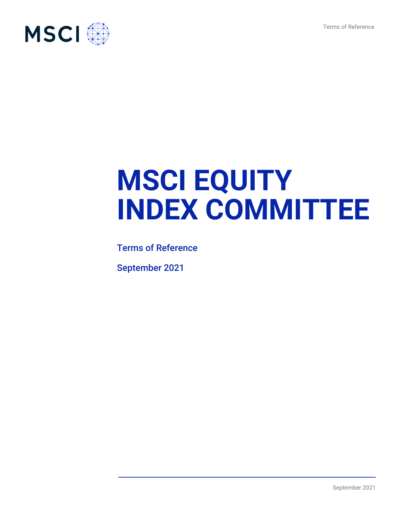Terms of Reference



# **MSCI EQUITY INDEX COMMITTEE**

Terms of Reference

September 2021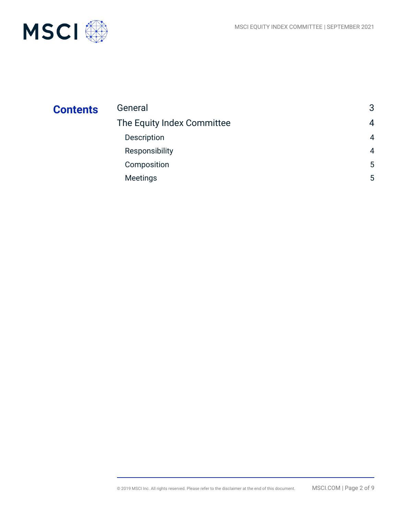

| <b>Contents</b> | General                    | 3              |
|-----------------|----------------------------|----------------|
|                 | The Equity Index Committee | $\overline{4}$ |
|                 | Description                | $\overline{4}$ |
|                 | Responsibility             | $\overline{4}$ |
|                 | Composition                | 5              |
|                 | <b>Meetings</b>            | 5              |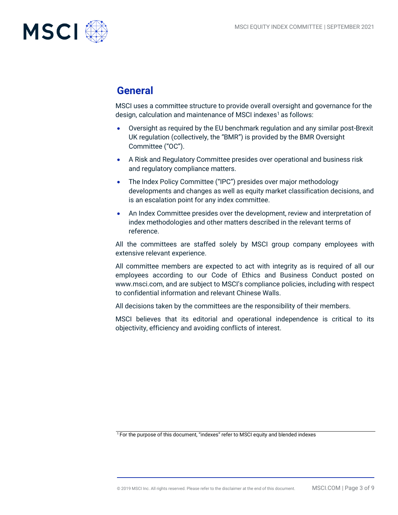

## **General**

MSCI uses a committee structure to provide overall oversight and governance for the design, calculation and maintenance of MSCI indexes<sup>1</sup> as follows:

- Oversight as required by the EU benchmark regulation and any similar post-Brexit UK regulation (collectively, the "BMR") is provided by the BMR Oversight Committee ("OC").
- A Risk and Regulatory Committee presides over operational and business risk and regulatory compliance matters.
- The Index Policy Committee ("IPC") presides over major methodology developments and changes as well as equity market classification decisions, and is an escalation point for any index committee.
- An Index Committee presides over the development, review and interpretation of index methodologies and other matters described in the relevant terms of reference.

All the committees are staffed solely by MSCI group company employees with extensive relevant experience.

All committee members are expected to act with integrity as is required of all our employees according to our Code of Ethics and Business Conduct posted on [www.msci.com](http://www.msci.com/), and are subject to MSCI's compliance policies, including with respect to confidential information and relevant Chinese Walls.

All decisions taken by the committees are the responsibility of their members.

MSCI believes that its editorial and operational independence is critical to its objectivity, efficiency and avoiding conflicts of interest.

 $1$  For the purpose of this document, "indexes" refer to MSCI equity and blended indexes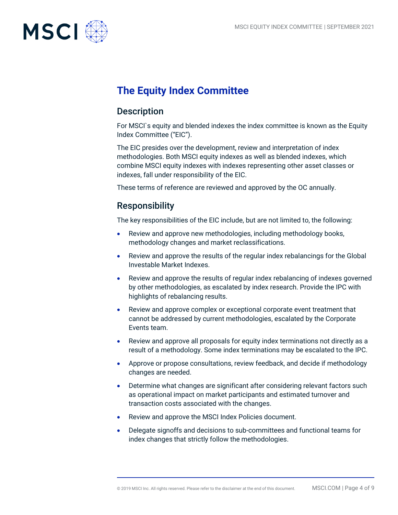

## **The Equity Index Committee**

## **Description**

For MSCI`s equity and blended indexes the index committee is known as the Equity Index Committee ("EIC").

The EIC presides over the development, review and interpretation of index methodologies. Both MSCI equity indexes as well as blended indexes, which combine MSCI equity indexes with indexes representing other asset classes or indexes, fall under responsibility of the EIC.

These terms of reference are reviewed and approved by the OC annually.

## Responsibility

The key responsibilities of the EIC include, but are not limited to, the following:

- Review and approve new methodologies, including methodology books, methodology changes and market reclassifications.
- Review and approve the results of the regular index rebalancings for the Global Investable Market Indexes.
- Review and approve the results of regular index rebalancing of indexes governed by other methodologies, as escalated by index research. Provide the IPC with highlights of rebalancing results.
- Review and approve complex or exceptional corporate event treatment that cannot be addressed by current methodologies, escalated by the Corporate Events team.
- Review and approve all proposals for equity index terminations not directly as a result of a methodology. Some index terminations may be escalated to the IPC.
- Approve or propose consultations, review feedback, and decide if methodology changes are needed.
- Determine what changes are significant after considering relevant factors such as operational impact on market participants and estimated turnover and transaction costs associated with the changes.
- Review and approve the MSCI Index Policies document.
- Delegate signoffs and decisions to sub-committees and functional teams for index changes that strictly follow the methodologies.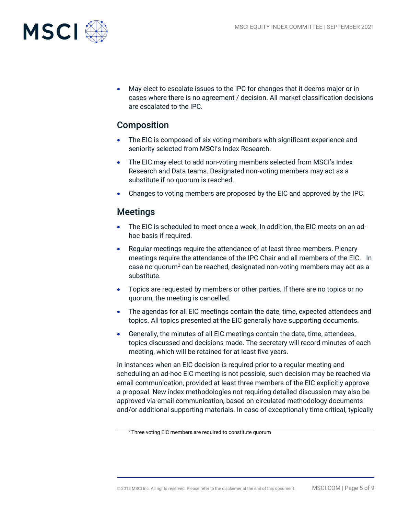

• May elect to escalate issues to the IPC for changes that it deems major or in cases where there is no agreement / decision. All market classification decisions are escalated to the IPC.

## Composition

- The EIC is composed of six voting members with significant experience and seniority selected from MSCI's Index Research.
- The EIC may elect to add non-voting members selected from MSCI's Index Research and Data teams. Designated non-voting members may act as a substitute if no quorum is reached.
- Changes to voting members are proposed by the EIC and approved by the IPC.

### Meetings

- The EIC is scheduled to meet once a week. In addition, the EIC meets on an adhoc basis if required.
- Regular meetings require the attendance of at least three members. Plenary meetings require the attendance of the IPC Chair and all members of the EIC. In case no quorum<sup>2</sup> can be reached, designated non-voting members may act as a substitute.
- Topics are requested by members or other parties. If there are no topics or no quorum, the meeting is cancelled.
- The agendas for all EIC meetings contain the date, time, expected attendees and topics. All topics presented at the EIC generally have supporting documents.
- Generally, the minutes of all EIC meetings contain the date, time, attendees, topics discussed and decisions made. The secretary will record minutes of each meeting, which will be retained for at least five years.

In instances when an EIC decision is required prior to a regular meeting and scheduling an ad-hoc EIC meeting is not possible, such decision may be reached via email communication, provided at least three members of the EIC explicitly approve a proposal. New index methodologies not requiring detailed discussion may also be approved via email communication, based on circulated methodology documents and/or additional supporting materials. In case of exceptionally time critical, typically

<sup>&</sup>lt;sup>2</sup> Three voting EIC members are required to constitute quorum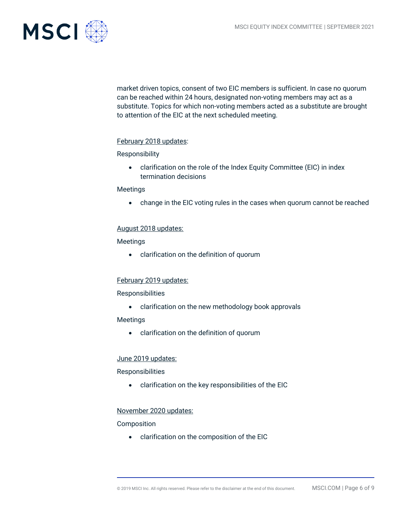

market driven topics, consent of two EIC members is sufficient. In case no quorum can be reached within 24 hours, designated non-voting members may act as a substitute. Topics for which non-voting members acted as a substitute are brought to attention of the EIC at the next scheduled meeting.

#### February 2018 updates:

#### Responsibility

• clarification on the role of the Index Equity Committee (EIC) in index termination decisions

#### Meetings

• change in the EIC voting rules in the cases when quorum cannot be reached

#### August 2018 updates:

#### Meetings

• clarification on the definition of quorum

#### February 2019 updates:

#### Responsibilities

• clarification on the new methodology book approvals

#### Meetings

• clarification on the definition of quorum

#### June 2019 updates:

#### Responsibilities

• clarification on the key responsibilities of the EIC

#### November 2020 updates:

#### Composition

• clarification on the composition of the EIC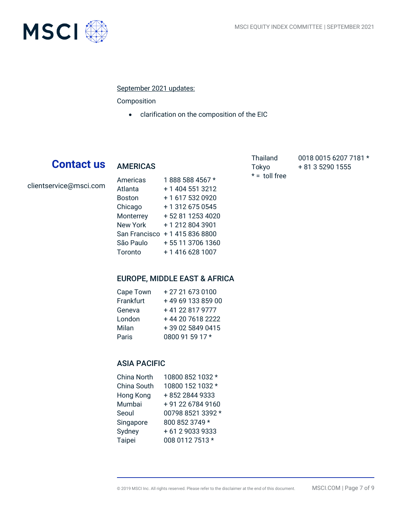

#### September 2021 updates:

Composition

• clarification on the composition of the EIC

## **Contact us AMERICAS**

clientservice@msci.com

| Americas        | 1888 588 4567 *  |
|-----------------|------------------|
| Atlanta         | + 1 404 551 3212 |
| Boston          | +1 617 532 0920  |
| Chicago         | + 1 312 675 0545 |
| Monterrey       | +52 81 1253 4020 |
| <b>New York</b> | +12128043901     |
| San Francisco   | +14158368800     |
| São Paulo       | +55 11 3706 1360 |
| Toronto         | + 1 416 628 1007 |

Thailand 0018 0015 6207 7181 \* Tokyo + 81 3 5290 1555  $* =$  toll free

#### EUROPE, MIDDLE EAST & AFRICA

| Cape Town | +27 21 673 0100  |
|-----------|------------------|
| Frankfurt | +496913385900    |
| Geneva    | +41 22 817 9777  |
| London    | +44 20 7618 2222 |
| Milan     | +39 02 5849 0415 |
| Paris     | 0800 91 59 17 *  |

#### ASIA PACIFIC

| China North | 10800 852 1032 *  |
|-------------|-------------------|
| China South | 10800 152 1032 *  |
| Hong Kong   | + 852 2844 9333   |
| Mumbai      | +91 22 6784 9160  |
| Seoul       | 00798 8521 3392 * |
| Singapore   | 800 852 3749 *    |
| Sydney      | +61290339333      |
| Taipei      | 008 0112 7513 *   |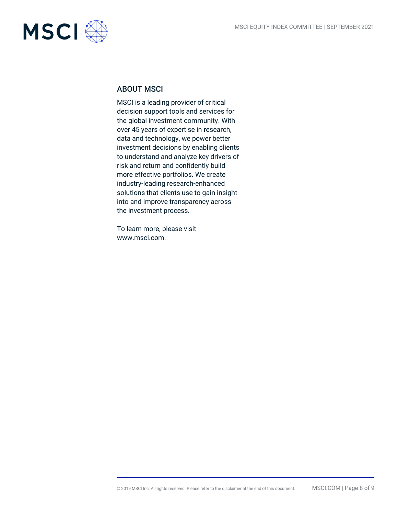

#### ABOUT MSCI

MSCI is a leading provider of critical decision support tools and services for the global investment community. With over 45 years of expertise in research, data and technology, we power better investment decisions by enabling clients to understand and analyze key drivers of risk and return and confidently build more effective portfolios. We create industry-leading research-enhanced solutions that clients use to gain insight into and improve transparency across the investment process.

To learn more, please visit www.msci.com.